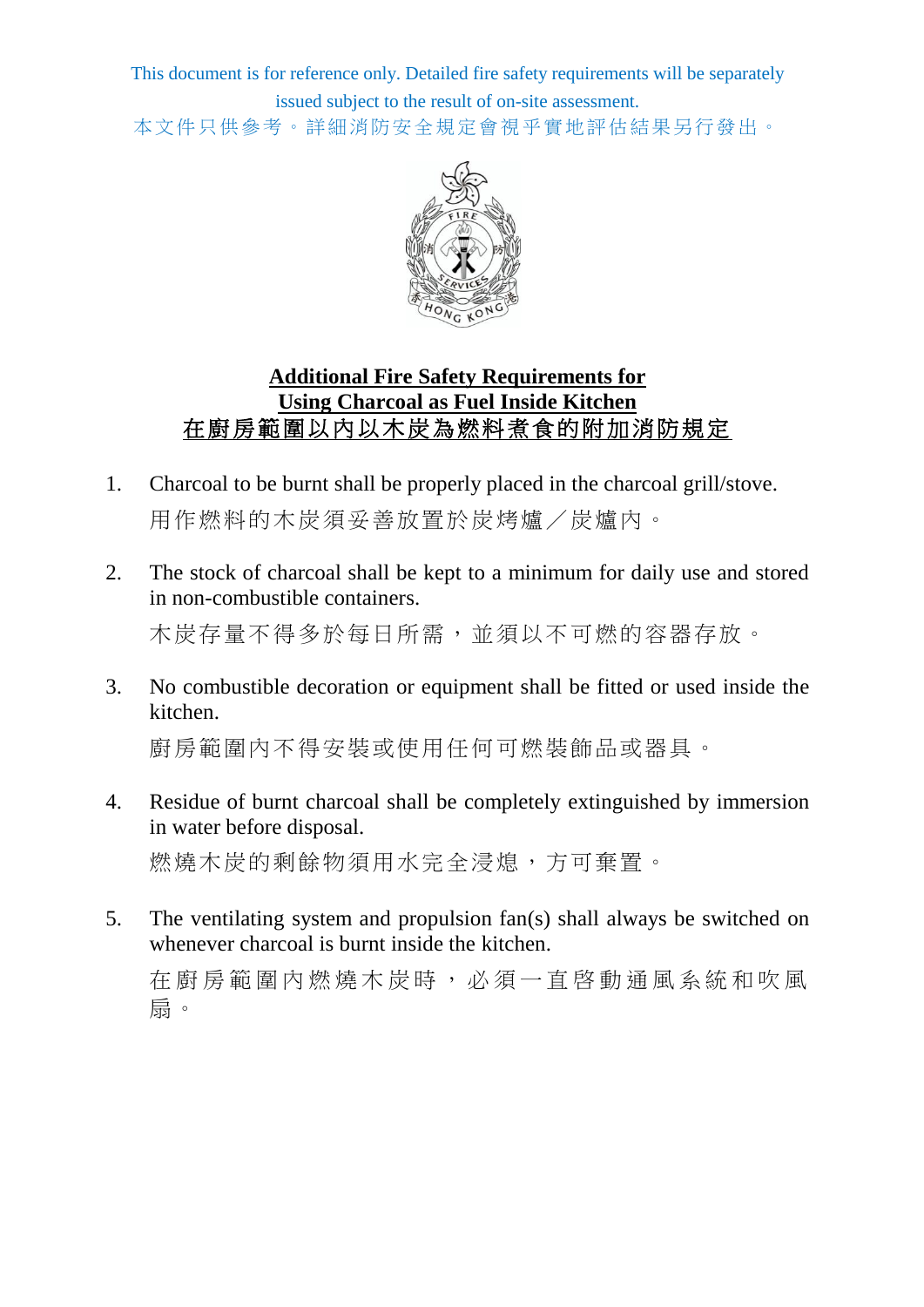This document is for reference only. Detailed fire safety requirements will be separately issued subject to the result of on-site assessment. 本文件只供參考。詳細消防安全規定會視乎實地評估結果另行發出。



## **Additional Fire Safety Requirements for Using Charcoal as Fuel Inside Kitchen** 在廚房範圍以內以木炭為燃料煮食的附加消防規定

- 1. Charcoal to be burnt shall be properly placed in the charcoal grill/stove. 用作燃料的木炭須妥善放置於炭烤爐/炭爐內。
- 2. The stock of charcoal shall be kept to a minimum for daily use and stored in non-combustible containers.

木炭存量不得多於每日所需,並須以不可燃的容器存放。

3. No combustible decoration or equipment shall be fitted or used inside the kitchen.

廚房範圍內不得安裝或使用任何可燃裝飾品或器具。

4. Residue of burnt charcoal shall be completely extinguished by immersion in water before disposal.

燃燒木炭的剩餘物須用水完全浸熄,方可棄置。

5. The ventilating system and propulsion fan(s) shall always be switched on whenever charcoal is burnt inside the kitchen.

在廚房範圍內燃燒木炭時,必須一直啓動通風系統和吹風 扇。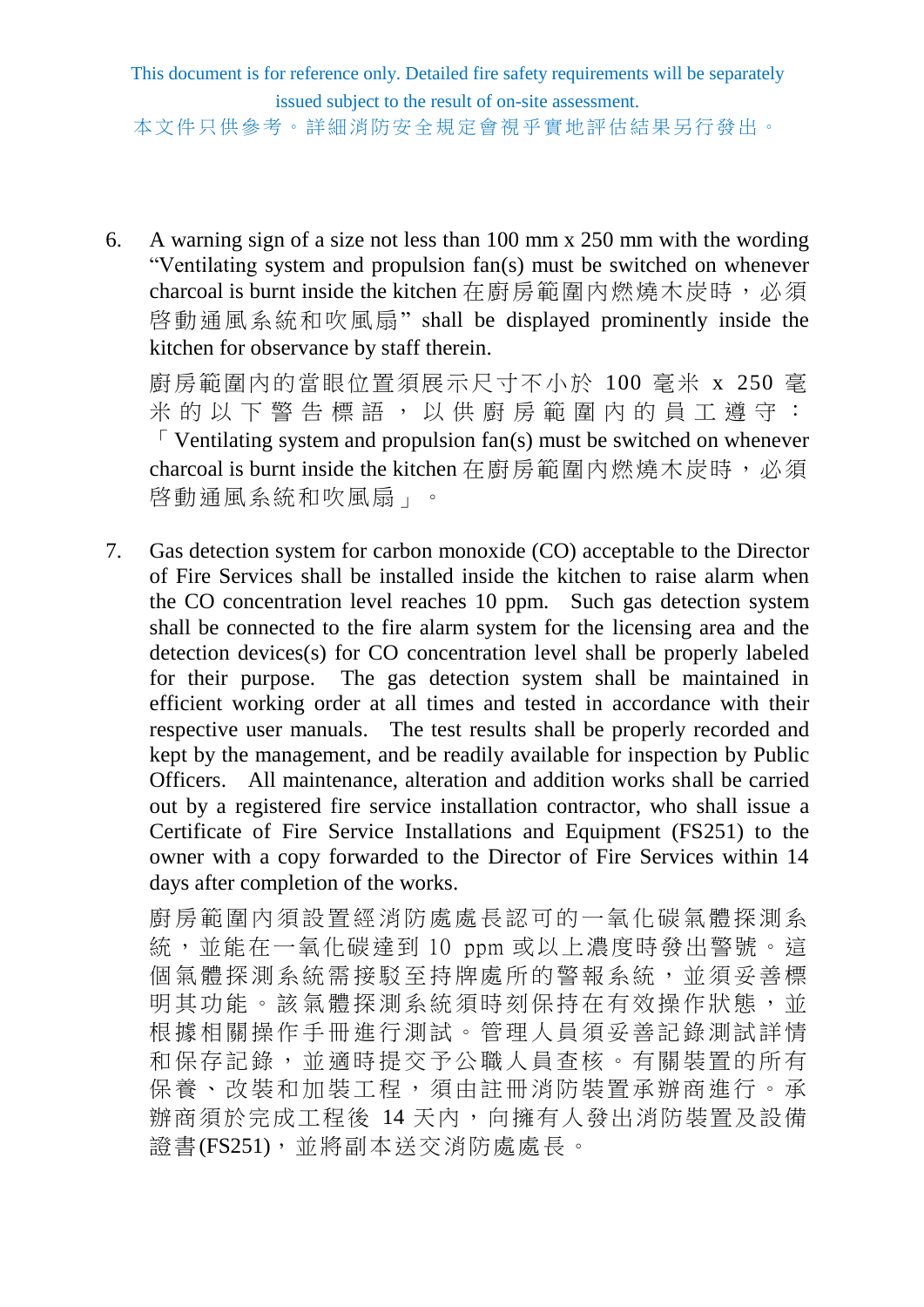This document is for reference only. Detailed fire safety requirements will be separately issued subject to the result of on-site assessment.

本文件只供參考。詳細消防安全規定會視乎實地評估結果另行發出。

6. A warning sign of a size not less than 100 mm x 250 mm with the wording "Ventilating system and propulsion fan(s) must be switched on whenever charcoal is burnt inside the kitchen 在廚房範圍內燃燒木炭時,必須 啓動通風系統和吹風扇" shall be displayed prominently inside the kitchen for observance by staff therein.

廚房範圍內的當眼位置須展示尺寸不小於 100 毫米 x 250 毫 米的以下警告標語,以供 廚 房 範圍內的員工遵守:  $\sqrt{\ }$  Ventilating system and propulsion fan(s) must be switched on whenever charcoal is burnt inside the kitchen 在廚房範圍內燃燒木炭時,必須 啓動通風系統和吹風扇」。

7. Gas detection system for carbon monoxide (CO) acceptable to the Director of Fire Services shall be installed inside the kitchen to raise alarm when the CO concentration level reaches 10 ppm. Such gas detection system shall be connected to the fire alarm system for the licensing area and the detection devices(s) for CO concentration level shall be properly labeled for their purpose. The gas detection system shall be maintained in efficient working order at all times and tested in accordance with their respective user manuals. The test results shall be properly recorded and kept by the management, and be readily available for inspection by Public Officers. All maintenance, alteration and addition works shall be carried out by a registered fire service installation contractor, who shall issue a Certificate of Fire Service Installations and Equipment (FS251) to the owner with a copy forwarded to the Director of Fire Services within 14 days after completion of the works.

廚房範圍內須設置經消防處處長認可的一氧化碳氣體探測系 統,並能在一氧化碳達到 10 ppm 或以上濃度時發出警號。這 個氣體探測系統需接駁至持牌處所的警報系統,並須妥善標 明其功能。該氣體探測系統須時刻保持在有效操作狀態,並 根據相關操作手冊進行測試。管理人員須妥善記錄測試詳情 和保存記錄, 並 適時提 交 予 公職 人員 杳 核 。 有關 裝 置 的 所 有 保養、改裝和加裝工程,須由註冊消防裝置承辦商進行。承 辦商須於完成工程後 14 天內,向擁有人發出消防裝置及設備 證書(FS251),並將副本送交消防處處長。